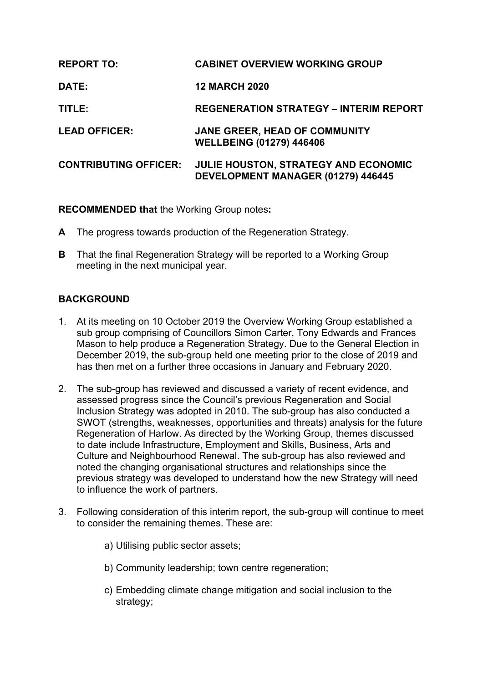| <b>REPORT TO:</b>            | <b>CABINET OVERVIEW WORKING GROUP</b>                                      |
|------------------------------|----------------------------------------------------------------------------|
| <b>DATE:</b>                 | <b>12 MARCH 2020</b>                                                       |
| TITLE:                       | <b>REGENERATION STRATEGY - INTERIM REPORT</b>                              |
| <b>LEAD OFFICER:</b>         | JANE GREER, HEAD OF COMMUNITY<br><b>WELLBEING (01279) 446406</b>           |
| <b>CONTRIBUTING OFFICER:</b> | JULIE HOUSTON, STRATEGY AND ECONOMIC<br>DEVELOPMENT MANAGER (01279) 446445 |

**RECOMMENDED that** the Working Group notes**:**

- **A** The progress towards production of the Regeneration Strategy.
- **B** That the final Regeneration Strategy will be reported to a Working Group meeting in the next municipal year.

## **BACKGROUND**

- 1. At its meeting on 10 October 2019 the Overview Working Group established a sub group comprising of Councillors Simon Carter, Tony Edwards and Frances Mason to help produce a Regeneration Strategy. Due to the General Election in December 2019, the sub-group held one meeting prior to the close of 2019 and has then met on a further three occasions in January and February 2020.
- 2. The sub-group has reviewed and discussed a variety of recent evidence, and assessed progress since the Council's previous Regeneration and Social Inclusion Strategy was adopted in 2010. The sub-group has also conducted a SWOT (strengths, weaknesses, opportunities and threats) analysis for the future Regeneration of Harlow. As directed by the Working Group, themes discussed to date include Infrastructure, Employment and Skills, Business, Arts and Culture and Neighbourhood Renewal. The sub-group has also reviewed and noted the changing organisational structures and relationships since the previous strategy was developed to understand how the new Strategy will need to influence the work of partners.
- 3. Following consideration of this interim report, the sub-group will continue to meet to consider the remaining themes. These are:
	- a) Utilising public sector assets;
	- b) Community leadership; town centre regeneration;
	- c) Embedding climate change mitigation and social inclusion to the strategy;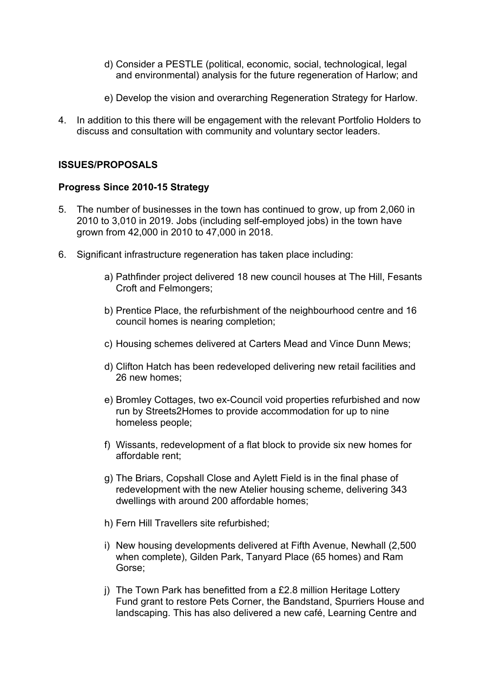- d) Consider a PESTLE (political, economic, social, technological, legal and environmental) analysis for the future regeneration of Harlow; and
- e) Develop the vision and overarching Regeneration Strategy for Harlow.
- 4. In addition to this there will be engagement with the relevant Portfolio Holders to discuss and consultation with community and voluntary sector leaders.

## **ISSUES/PROPOSALS**

### **Progress Since 2010-15 Strategy**

- 5. The number of businesses in the town has continued to grow, up from 2,060 in 2010 to 3,010 in 2019. Jobs (including self-employed jobs) in the town have grown from 42,000 in 2010 to 47,000 in 2018.
- 6. Significant infrastructure regeneration has taken place including:
	- a) Pathfinder project delivered 18 new council houses at The Hill, Fesants Croft and Felmongers;
	- b) Prentice Place, the refurbishment of the neighbourhood centre and 16 council homes is nearing completion;
	- c) Housing schemes delivered at Carters Mead and Vince Dunn Mews;
	- d) Clifton Hatch has been redeveloped delivering new retail facilities and 26 new homes;
	- e) Bromley Cottages, two ex-Council void properties refurbished and now run by Streets2Homes to provide accommodation for up to nine homeless people;
	- f) Wissants, redevelopment of a flat block to provide six new homes for affordable rent;
	- g) The Briars, Copshall Close and Aylett Field is in the final phase of redevelopment with the new Atelier housing scheme, delivering 343 dwellings with around 200 affordable homes;
	- h) Fern Hill Travellers site refurbished;
	- i) New housing developments delivered at Fifth Avenue, Newhall (2,500 when complete), Gilden Park, Tanyard Place (65 homes) and Ram Gorse;
	- j) The Town Park has benefitted from a £2.8 million Heritage Lottery Fund grant to restore Pets Corner, the Bandstand, Spurriers House and landscaping. This has also delivered a new café, Learning Centre and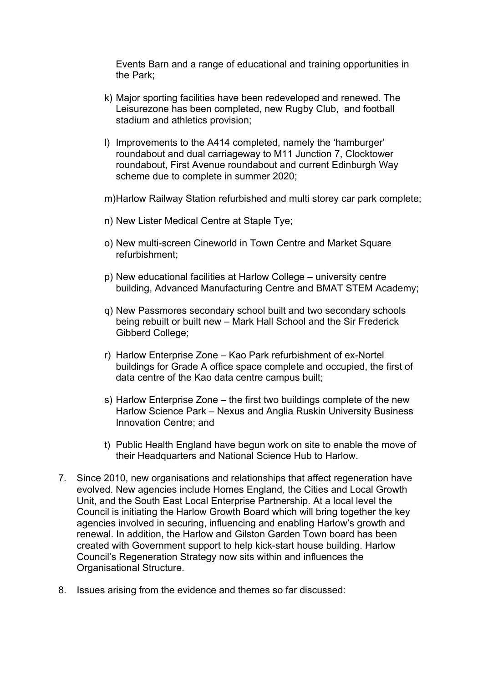Events Barn and a range of educational and training opportunities in the Park;

- k) Major sporting facilities have been redeveloped and renewed. The Leisurezone has been completed, new Rugby Club, and football stadium and athletics provision;
- l) Improvements to the A414 completed, namely the 'hamburger' roundabout and dual carriageway to M11 Junction 7, Clocktower roundabout, First Avenue roundabout and current Edinburgh Way scheme due to complete in summer 2020;
- m)Harlow Railway Station refurbished and multi storey car park complete;
- n) New Lister Medical Centre at Staple Tye;
- o) New multi-screen Cineworld in Town Centre and Market Square refurbishment;
- p) New educational facilities at Harlow College university centre building, Advanced Manufacturing Centre and BMAT STEM Academy;
- q) New Passmores secondary school built and two secondary schools being rebuilt or built new – Mark Hall School and the Sir Frederick Gibberd College;
- r) Harlow Enterprise Zone Kao Park refurbishment of ex-Nortel buildings for Grade A office space complete and occupied, the first of data centre of the Kao data centre campus built;
- s) Harlow Enterprise Zone the first two buildings complete of the new Harlow Science Park – Nexus and Anglia Ruskin University Business Innovation Centre; and
- t) Public Health England have begun work on site to enable the move of their Headquarters and National Science Hub to Harlow.
- 7. Since 2010, new organisations and relationships that affect regeneration have evolved. New agencies include Homes England, the Cities and Local Growth Unit, and the South East Local Enterprise Partnership. At a local level the Council is initiating the Harlow Growth Board which will bring together the key agencies involved in securing, influencing and enabling Harlow's growth and renewal. In addition, the Harlow and Gilston Garden Town board has been created with Government support to help kick-start house building. Harlow Council's Regeneration Strategy now sits within and influences the Organisational Structure.
- 8. Issues arising from the evidence and themes so far discussed: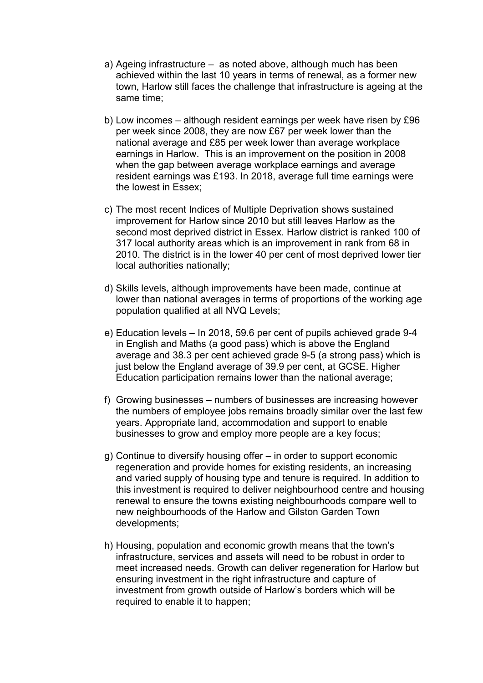- a) Ageing infrastructure as noted above, although much has been achieved within the last 10 years in terms of renewal, as a former new town, Harlow still faces the challenge that infrastructure is ageing at the same time;
- b) Low incomes although resident earnings per week have risen by £96 per week since 2008, they are now £67 per week lower than the national average and £85 per week lower than average workplace earnings in Harlow. This is an improvement on the position in 2008 when the gap between average workplace earnings and average resident earnings was £193. In 2018, average full time earnings were the lowest in Essex;
- c) The most recent Indices of Multiple Deprivation shows sustained improvement for Harlow since 2010 but still leaves Harlow as the second most deprived district in Essex. Harlow district is ranked 100 of 317 local authority areas which is an improvement in rank from 68 in 2010. The district is in the lower 40 per cent of most deprived lower tier local authorities nationally;
- d) Skills levels, although improvements have been made, continue at lower than national averages in terms of proportions of the working age population qualified at all NVQ Levels;
- e) Education levels In 2018, 59.6 per cent of pupils achieved grade 9-4 in English and Maths (a good pass) which is above the England average and 38.3 per cent achieved grade 9-5 (a strong pass) which is just below the England average of 39.9 per cent, at GCSE. Higher Education participation remains lower than the national average;
- f) Growing businesses numbers of businesses are increasing however the numbers of employee jobs remains broadly similar over the last few years. Appropriate land, accommodation and support to enable businesses to grow and employ more people are a key focus;
- g) Continue to diversify housing offer in order to support economic regeneration and provide homes for existing residents, an increasing and varied supply of housing type and tenure is required. In addition to this investment is required to deliver neighbourhood centre and housing renewal to ensure the towns existing neighbourhoods compare well to new neighbourhoods of the Harlow and Gilston Garden Town developments;
- h) Housing, population and economic growth means that the town's infrastructure, services and assets will need to be robust in order to meet increased needs. Growth can deliver regeneration for Harlow but ensuring investment in the right infrastructure and capture of investment from growth outside of Harlow's borders which will be required to enable it to happen;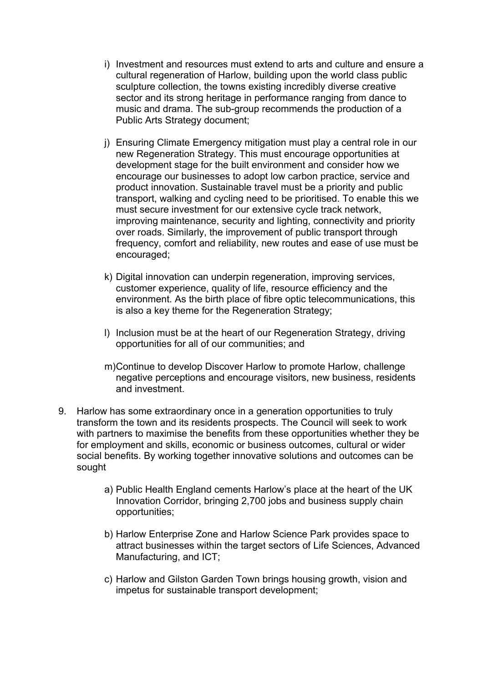- i) Investment and resources must extend to arts and culture and ensure a cultural regeneration of Harlow, building upon the world class public sculpture collection, the towns existing incredibly diverse creative sector and its strong heritage in performance ranging from dance to music and drama. The sub-group recommends the production of a Public Arts Strategy document;
- j) Ensuring Climate Emergency mitigation must play a central role in our new Regeneration Strategy. This must encourage opportunities at development stage for the built environment and consider how we encourage our businesses to adopt low carbon practice, service and product innovation. Sustainable travel must be a priority and public transport, walking and cycling need to be prioritised. To enable this we must secure investment for our extensive cycle track network, improving maintenance, security and lighting, connectivity and priority over roads. Similarly, the improvement of public transport through frequency, comfort and reliability, new routes and ease of use must be encouraged;
- k) Digital innovation can underpin regeneration, improving services, customer experience, quality of life, resource efficiency and the environment. As the birth place of fibre optic telecommunications, this is also a key theme for the Regeneration Strategy;
- l) Inclusion must be at the heart of our Regeneration Strategy, driving opportunities for all of our communities; and
- m)Continue to develop Discover Harlow to promote Harlow, challenge negative perceptions and encourage visitors, new business, residents and investment.
- 9. Harlow has some extraordinary once in a generation opportunities to truly transform the town and its residents prospects. The Council will seek to work with partners to maximise the benefits from these opportunities whether they be for employment and skills, economic or business outcomes, cultural or wider social benefits. By working together innovative solutions and outcomes can be sought
	- a) Public Health England cements Harlow's place at the heart of the UK Innovation Corridor, bringing 2,700 jobs and business supply chain opportunities;
	- b) Harlow Enterprise Zone and Harlow Science Park provides space to attract businesses within the target sectors of Life Sciences, Advanced Manufacturing, and ICT;
	- c) Harlow and Gilston Garden Town brings housing growth, vision and impetus for sustainable transport development;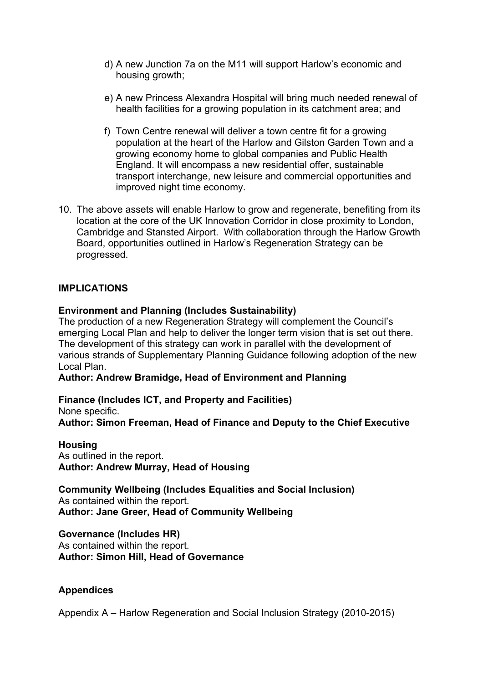- d) A new Junction 7a on the M11 will support Harlow's economic and housing growth;
- e) A new Princess Alexandra Hospital will bring much needed renewal of health facilities for a growing population in its catchment area; and
- f) Town Centre renewal will deliver a town centre fit for a growing population at the heart of the Harlow and Gilston Garden Town and a growing economy home to global companies and Public Health England. It will encompass a new residential offer, sustainable transport interchange, new leisure and commercial opportunities and improved night time economy.
- 10. The above assets will enable Harlow to grow and regenerate, benefiting from its location at the core of the UK Innovation Corridor in close proximity to London, Cambridge and Stansted Airport. With collaboration through the Harlow Growth Board, opportunities outlined in Harlow's Regeneration Strategy can be progressed.

## **IMPLICATIONS**

### **Environment and Planning (Includes Sustainability)**

The production of a new Regeneration Strategy will complement the Council's emerging Local Plan and help to deliver the longer term vision that is set out there. The development of this strategy can work in parallel with the development of various strands of Supplementary Planning Guidance following adoption of the new Local Plan.

#### **Author: Andrew Bramidge, Head of Environment and Planning**

**Finance (Includes ICT, and Property and Facilities)** None specific. **Author: Simon Freeman, Head of Finance and Deputy to the Chief Executive**

#### **Housing**

As outlined in the report. **Author: Andrew Murray, Head of Housing**

**Community Wellbeing (Includes Equalities and Social Inclusion)** As contained within the report. **Author: Jane Greer, Head of Community Wellbeing**

#### **Governance (Includes HR)**

As contained within the report. **Author: Simon Hill, Head of Governance**

### **Appendices**

Appendix A – Harlow Regeneration and Social Inclusion Strategy (2010-2015)